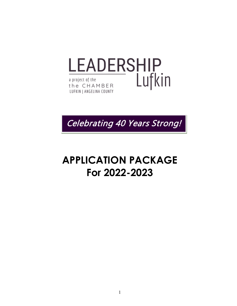



# **APPLICATION PACKAGE For 2022-2023**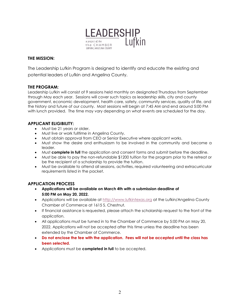

#### **THE MISSION:**

The Leadership Lufkin Program is designed to identify and educate the existing and potential leaders of Lufkin and Angelina County.

#### kin and Angelina County. **THE PROGRAM:**

Leadership Lufkin will consist of 9 sessions held monthly on designated Thursdays from September through May each year. Sessions will cover such topics as leadership skills, city and county government, economic development, health care, safety, community services, quality of life, and the history and future of our county. Most sessions will begin at 7:45 AM and end around 5:00 PM with lunch provided. The time may vary depending on what events are scheduled for the day.

#### **APPLICANT ELIGIBILITY:**

- Must be 21 years or older.
- Must live or work fulltime in Angelina County.
- Must obtain approval from CEO or Senior Executive where applicant works.
- Must show the desire and enthusiasm to be involved in the community and become a leader.
- Must **complete in full** the application and consent forms and submit before the deadline.
- Must be able to pay the non-refundable \$1200 tuition for the program prior to the retreat or be the recipient of a scholarship to provide the tuition.
- Must be available to attend all sessions, activities, required volunteering and extracurricular requirements listed in the packet.

#### **APPLICATION PROCESS**

- **Applications will be available on March 4th with a submission deadline of 5:00 PM on May 20, 2022.**
- Applications will be available at [http://www.lufkintexas.org](http://www.lufkintexas.org/) at the Lufkin/Angelina County Chamber of Commerce at 1615 S. Chestnut.
- If financial assistance is requested, please attach the scholarship request to the front of the application.
- All applications must be turned in to the Chamber of Commerce by 5:00 PM on May 20, 2022. Applications will not be accepted after this time unless the deadline has been extended by the Chamber of Commerce.
- **Do not enclose the fee with the application. Fees will not be accepted until the class has been selected.**
- Applications must be **completed in full** to be accepted.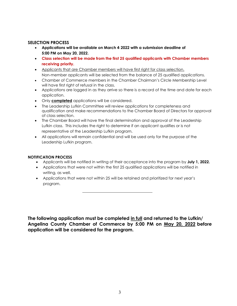#### **SELECTION PROCESS**

- **Applications will be available on March 4, 2022 with a submission deadline of 5:00 PM on May 20, 2022.**
- **Class selection will be made from the first 25 qualified applicants with Chamber members receiving priority.**
- Applicants that are Chamber members will have first right for class selection. Non-member applicants will be selected from the balance of 25 qualified applications.
- Chamber of Commerce members in the Chamber Chairman's Circle Membership Level will have first right of refusal in the class.
- Applications are logged in as they arrive so there is a record of the time and date for each application.
- Only **completed** applications will be considered.
- The Leadership Lufkin Committee will review applications for completeness and qualification and make recommendations to the Chamber Board of Directors for approval of class selection.
- The Chamber Board will have the final determination and approval of the Leadership Lufkin class. This includes the right to determine if an applicant qualifies or is not representative of the Leadership Lufkin program.
- All applications will remain confidential and will be used only for the purpose of the Leadership Lufkin program.

#### **NOTIFICATION PROCESS**

- Applicants will be notified in writing of their acceptance into the program by **July 1, 2022.**
- Applications that were not within the first 25 qualified applications will be notified in writing, as well.
- Applications that were not within 25 will be retained and prioritized for next year's program.

**The following application must be completed in full and returned to the Lufkin/ Angelina County Chamber of Commerce by 5:00 PM on May 20, 2022 before application will be considered for the program.**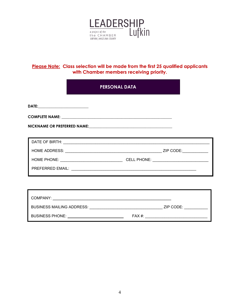

#### **Please Note: Class selection will be made from the first 25 qualified applicants with Chamber members receiving priority.**

## **PERSONAL DATA**

| COMPANY:                         |          |           |
|----------------------------------|----------|-----------|
| <b>BUSINESS MAILING ADDRESS:</b> |          | ZIP CODE: |
| <b>BUSINESS PHONE:</b>           | $FAX#$ : |           |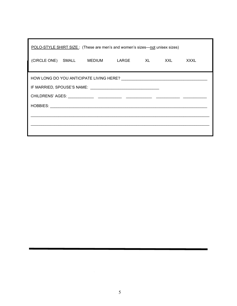| POLO-STYLE SHIRT SIZE: (These are men's and women's sizes—not unisex sizes) |  |  |  |  |  |             |
|-----------------------------------------------------------------------------|--|--|--|--|--|-------------|
| (CIRCLE ONE) SMALL MEDIUM LARGE XL XXL                                      |  |  |  |  |  | <b>XXXL</b> |
|                                                                             |  |  |  |  |  |             |
|                                                                             |  |  |  |  |  |             |
|                                                                             |  |  |  |  |  |             |
|                                                                             |  |  |  |  |  |             |
|                                                                             |  |  |  |  |  |             |
|                                                                             |  |  |  |  |  |             |
|                                                                             |  |  |  |  |  |             |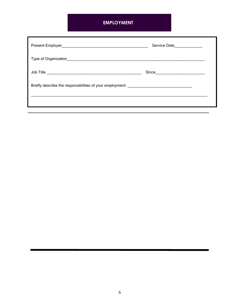# **EMPLOYMENT**

|                                                                                   | Service Date______________ |
|-----------------------------------------------------------------------------------|----------------------------|
|                                                                                   |                            |
|                                                                                   |                            |
| Briefly describe the responsibilities of your employment: _______________________ |                            |
|                                                                                   |                            |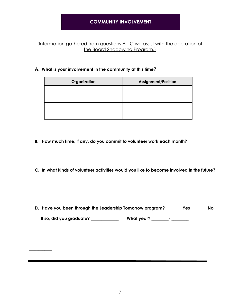### **COMMUNITY INVOLVEMENT**

#### (Information gathered from questions A - C will assist with the operation of the Board Shadowing Program.)

#### **A. What is your involvement in the community at this time?**

| Organization | <b>Assignment/Position</b> |
|--------------|----------------------------|
|              |                            |
|              |                            |
|              |                            |
|              |                            |

**B. How much time, if any, do you commit to volunteer work each month?**

**\_\_\_\_\_\_\_\_\_\_\_\_\_\_\_\_\_\_\_\_\_\_\_\_\_\_\_\_\_\_\_\_\_\_\_\_\_\_\_\_\_\_\_\_\_\_\_\_\_\_\_\_\_\_\_\_\_\_\_\_\_\_\_\_\_\_\_\_\_\_**

**C. In what kinds of volunteer activities would you like to become involved in the future?**

**\_\_\_\_\_\_\_\_\_\_\_\_\_\_\_\_\_\_\_\_\_\_\_\_\_\_\_\_\_\_\_\_\_\_\_\_\_\_\_\_\_\_\_\_\_\_\_\_\_\_\_\_\_\_\_\_\_\_\_\_\_\_\_\_\_\_\_\_\_\_\_\_\_\_**

**\_\_\_\_\_\_\_\_\_\_\_\_\_\_\_\_\_\_\_\_\_\_\_\_\_\_\_\_\_\_\_\_\_\_\_\_\_\_\_\_\_\_\_\_\_\_\_\_\_\_\_\_\_\_\_\_\_\_\_\_\_\_\_\_\_\_\_\_\_\_\_\_\_\_**

**D. Have you been through the Leadership Tomorrow program? \_\_\_\_\_ Yes \_\_\_\_\_ No If so, did you graduate? \_\_\_\_\_\_\_\_\_\_\_\_\_ What year? \_\_\_\_\_\_\_\_- \_\_\_\_\_\_\_\_**

**\_\_\_\_\_\_\_\_\_\_\_\_**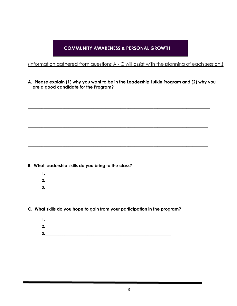# **COMMUNITY AWARENESS & PERSONAL GROWTH**

(Information gathered from questions A - C will assist with the planning of each session.)

A. Please explain (1) why you want to be in the Leadership Lufkin Program and (2) why you are a good candidate for the Program?

- B. What leadership skills do you bring to the class?
	- 2.  $\qquad \qquad$
	-

C. What skills do you hope to gain from your participation in the program?

| c<br>-  |  |  |
|---------|--|--|
| ∍<br>ш. |  |  |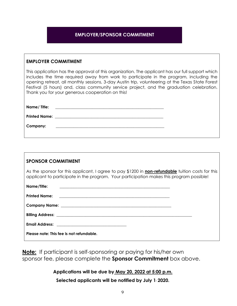### **EMPLOYER/SPONSOR COMMITMENT**

#### **EMPLOYER COMMITMENT**

This application has the approval of this organization. The applicant has our full support which includes the time required away from work to participate in the program, including the opening retreat, all monthly sessions, 3-day Austin trip, volunteering at the Texas State Forest Festival (5 hours) and, class community service project, and the graduation celebration. Thank you for your generous cooperation on this!

| Name/ Title: | <u> 1999 - Jan Barbara, manazarta bashkar (h. 1989).</u>                                            |  |
|--------------|-----------------------------------------------------------------------------------------------------|--|
|              |                                                                                                     |  |
| Company:     | the contract of the contract of the contract of the contract of the contract of the contract of the |  |

| <b>SPONSOR COMMITMENT</b>                                                                                                                                                                                                           |  |
|-------------------------------------------------------------------------------------------------------------------------------------------------------------------------------------------------------------------------------------|--|
| As the sponsor for this applicant, I agree to pay \$1200 in <b>non-refundable</b> tuition costs for this<br>applicant to participate in the program. Your participation makes this program possible!                                |  |
| Name/Title:                                                                                                                                                                                                                         |  |
|                                                                                                                                                                                                                                     |  |
|                                                                                                                                                                                                                                     |  |
| <b>Billing Address:</b> The contract of the contract of the contract of the contract of the contract of the contract of the contract of the contract of the contract of the contract of the contract of the contract of the contrac |  |
| Email Address: The Manuscripture of the Manuscripture of the Manuscripture of the Manuscripture of the Manuscripture of the Manuscripture of the Manuscripture of the Manuscripture of the Manuscripture of the Manuscripture       |  |
| Please note: This fee is not refundable.                                                                                                                                                                                            |  |

**Note:** If participant is self-sponsoring or paying for his/her own sponsor fee, please complete the **Sponsor Commitment** box above.

**Applications will be due by May 20, 2022 at 5:00 p.m.**

**Selected applicants will be notified by July 1, 2020.**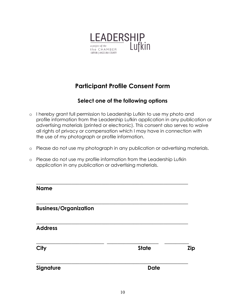

# **Participant Profile Consent Form**

# **Select one of the following options**

- o I hereby grant full permission to Leadership Lufkin to use my photo and profile information from the Leadership Lufkin application in any publication or advertising materials (printed or electronic). This consent also serves to waive all rights of privacy or compensation which I may have in connection with the use of my photograph or profile information.
- o Please do not use my photograph in any publication or advertising materials.
- o Please do not use my profile information from the Leadership Lufkin application in any publication or advertising materials.

**\_\_\_\_\_\_\_\_\_\_\_\_\_\_\_\_\_\_\_\_\_\_\_\_\_\_\_\_\_\_\_\_\_\_\_\_\_\_\_\_\_\_\_\_\_\_\_\_\_\_\_\_\_\_\_\_**

**\_\_\_\_\_\_\_\_\_\_\_\_\_\_\_\_\_\_\_\_\_\_\_\_\_\_\_\_\_\_\_\_\_\_\_\_\_\_\_\_\_\_\_\_\_\_\_\_\_\_\_\_\_\_\_\_**

**\_\_\_\_\_\_\_\_\_\_\_\_\_\_\_\_\_\_\_\_\_\_\_\_\_\_\_\_\_\_\_\_\_\_\_\_\_\_\_\_\_\_\_\_\_\_\_\_\_\_\_\_\_\_\_\_**

**\_\_\_\_\_\_\_\_\_\_\_\_\_\_\_\_\_\_\_\_\_\_\_\_\_ \_\_\_\_\_\_\_\_\_\_\_\_\_\_\_\_\_\_\_ \_\_\_\_\_\_\_\_\_**

**\_\_\_\_\_\_\_\_\_\_\_\_\_\_\_\_\_\_\_\_\_\_\_\_\_\_\_\_\_\_\_\_\_\_\_\_\_\_\_\_\_\_\_\_\_\_\_\_\_\_\_\_\_\_\_\_**

| Λ<br>lam |  |
|----------|--|
|----------|--|

## **Business/Organization**

**Address**

**City State Zip**

**Signature Date**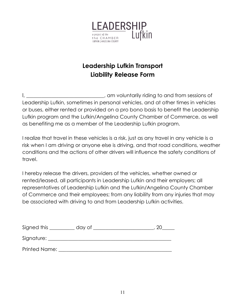

# **Leadership Lufkin Transport Liability Release Form**

I, \_\_\_\_\_\_\_\_\_\_\_\_\_\_\_\_\_\_\_\_\_\_\_\_\_\_\_, am voluntarily riding to and from sessions of Leadership Lufkin, sometimes in personal vehicles, and at other times in vehicles or buses, either rented or provided on a pro bono basis to benefit the Leadership Lufkin program and the Lufkin/Angelina County Chamber of Commerce, as well as benefiting me as a member of the Leadership Lufkin program.

I realize that travel in these vehicles is a risk, just as any travel in any vehicle is a risk when I am driving or anyone else is driving, and that road conditions, weather conditions and the actions of other drivers will influence the safety conditions of travel.

I hereby release the drivers, providers of the vehicles, whether owned or rented/leased, all participants in Leadership Lufkin and their employers; all representatives of Leadership Lufkin and the Lufkin/Angelina County Chamber of Commerce and their employees; from any liability from any injuries that may be associated with driving to and from Leadership Lufkin activities.

| Signed this   | day of |  |
|---------------|--------|--|
|               |        |  |
| Signature:    |        |  |
|               |        |  |
| Printed Name: |        |  |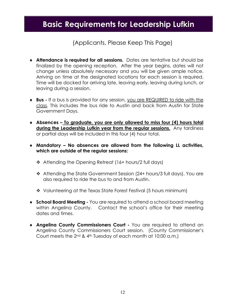# **Basic Requirements for Leadership Lufkin**

(Applicants, Please Keep This Page)

- ♦ **Attendance is required for all sessions.** Dates are tentative but should be finalized by the opening reception. After the year begins, dates will not change unless absolutely necessary and you will be given ample notice. Arriving on time at the designated locations for each session is required. Time will be docked for arriving late, leaving early, leaving during lunch, or leaving during a session.
- ♦ **Bus -** If a bus is provided for any session, you are REQUIRED to ride with the class. This includes the bus ride to Austin and back from Austin for State Government Days.
- ♦ **Absences – To graduate, you are only allowed to miss four (4) hours total during the Leadership Lufkin year from the regular sessions.** Any tardiness or partial days will be included in this four (4) hour total.
- ♦ **Mandatory – No absences are allowed from the following LL activities, which are outside of the regular sessions:** 
	- ❖ Attending the Opening Retreat (16+ hours/2 full days)
	- Attending the State Government Session (24+ hours/3 full days). You are also required to ride the bus to and from Austin.
	- Volunteering at the Texas State Forest Festival (5 hours minimum)
- ♦ **School Board Meeting -** You are required to attend a school board meeting within Angelina County. Contact the school's office for their meeting dates and times.
- ♦ **Angelina County Commissioners Court -** You are required to attend an Angelina County Commissioners Court session.(County Commissioner's Court meets the 2nd & 4th Tuesday of each month at 10:00 a.m.)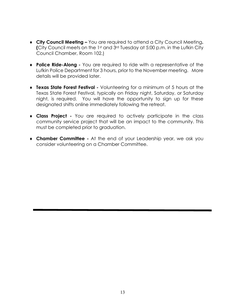- ♦ **City Council Meeting –** You are required to attend a City Council Meeting**. (**City Council meets on the 1st and 3rd Tuesday at 5:00 p.m. in the Lufkin City Council Chamber, Room 102.)
- ♦ **Police Ride-Along -** You are required to ride with a representative of the Lufkin Police Department for 3 hours, prior to the November meeting. More details will be provided later.
- ♦ **Texas State Forest Festival -** Volunteering for a minimum of 5 hours at the Texas State Forest Festival, typically on Friday night, Saturday, or Saturday night, is required.You will have the opportunity to sign up for these designated shifts online immediately following the retreat.
- ♦ **Class Project -** You are required to actively participate in the class community service project that will be an impact to the community. This must be completed prior to graduation.
- ♦ **Chamber Committee -** At the end of your Leadership year, we ask you consider volunteering on a Chamber Committee.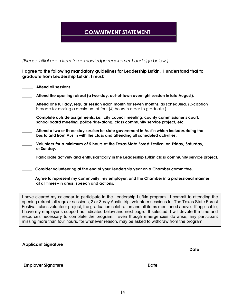# **COMMITMENT STATEMENT**

*(Please initial each item to acknowledge requirement and sign below.)*

**at all times--in dress, speech and actions.** 

#### **I agree to the following mandatory guidelines for Leadership Lufkin. I understand that to graduate from Leadership Lufkin, I must:**

| Attend all sessions.                                                                                                                                                        |
|-----------------------------------------------------------------------------------------------------------------------------------------------------------------------------|
| Attend the opening retreat (a two-day, out-of-town overnight session in late August).                                                                                       |
| Attend one full day, regular session each month for seven months, as scheduled. (Exception<br>is made for missing a maximum of four (4) hours in order to graduate.)        |
| Complete outside assignments, i.e., city council meeting, county commissioner's court,<br>school board meeting, police ride-along, class community service project, etc.    |
| Attend a two or three-day session for state government in Austin which includes riding the<br>bus to and from Austin with the class and attending all scheduled activities. |
| Volunteer for a minimum of 5 hours at the Texas State Forest Festival on Friday, Saturday,<br>or Sunday.                                                                    |
| Participate actively and enthusiastically in the Leadership Lufkin class community service project.                                                                         |
| Consider volunteering at the end of your Leadership year on a Chamber committee.                                                                                            |
| Agree to represent my community, my employer, and the Chamber in a professional manner                                                                                      |

I have cleared my calendar to participate in the Leadership Lufkin program. I commit to attending the opening retreat, all regular sessions, 2 or 3-day Austin trip, volunteer sessions for The Texas State Forest Festival, class volunteer project, the graduation celebration and all items mentioned above. If applicable, I have my employer's support as indicated below and next page. If selected, I will devote the time and resources necessary to complete the program. Even though emergencies do arise, any participant missing more than four hours, for whatever reason, may be asked to withdraw from the program.

| <b>Applicant Signature</b> |             |             |
|----------------------------|-------------|-------------|
|                            |             | <b>Date</b> |
| <b>Employer Signature</b>  | <b>Date</b> |             |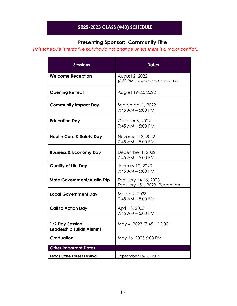# **2022-2023 CLASS (#40) SCHEDULE**

# **Presenting Sponsor: Community Title**

 *(This schedule is tentative but should not change unless there is a major conflict.)*

| <b>Sessions</b>                             | <u>Dates</u>                                           |
|---------------------------------------------|--------------------------------------------------------|
| <b>Welcome Reception</b>                    | August 2, 2022<br>(6:30 PM) Crown Colony Country Club  |
| <b>Opening Retreat</b>                      | August 19-20, 2022                                     |
| <b>Community Impact Day</b>                 | September 1, 2022<br>$7:45$ AM $-5:00$ PM              |
| <b>Education Day</b>                        | October 6, 2022<br>$7:45$ AM $-5:00$ PM                |
| <b>Health Care &amp; Safety Day</b>         | November 3, 2022<br>$7:45$ AM $-5:00$ PM               |
| <b>Business &amp; Economy Day</b>           | December 1, 2022<br>$7:45$ AM $-5:00$ PM               |
| <b>Quality of Life Day</b>                  | January 12, 2023<br>7:45 AM - 5:00 PM                  |
| <b>State Government/Austin Trip</b>         | February 14-16, 2023<br>February 15th, 2023- Reception |
| <b>Local Government Day</b>                 | March 2, 2023<br>7:45 AM - 5:00 PM                     |
| <b>Call to Action Day</b>                   | April 13, 2023<br>$7:45$ AM $-5:00$ PM                 |
| 1/2 Day Session<br>Leadership Lufkin Alumni | May 4, 2023 (7:45 - 12:00)                             |
| <b>Graduation</b>                           | May 16, 2023 6:00 PM                                   |
| <b>Other important Dates</b>                |                                                        |
| <b>Texas State Forest Festival</b>          | September 15-18, 2022                                  |